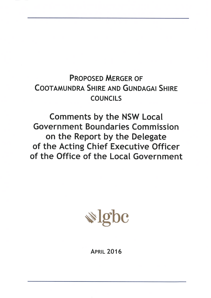# **PROPOSED MERGER OF COOTAMUNDRA SHIRE AND GUNDAGAI SHIRE COUNCILS**

**Comments by the NSW Local Government Boundaries Commission** on the Report by the Delegate of the Acting Chief Executive Officer of the Office of the Local Government



# **APRIL 2016**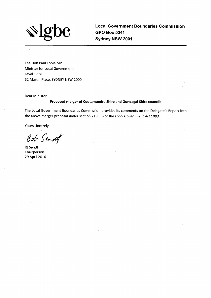

**Local Government Boundaries Commission GPO Box 5341** Sydney NSW 2001

The Hon Paul Toole MP Minister for Local Government Level 17 NE 52 Martin Place, SYDNEY NSW 2000

Dear Minister

#### Proposed merger of Cootamundra Shire and Gundagai Shire councils

The Local Government Boundaries Commission provides its comments on the Delegate's Report into the above merger proposal under section 218F(6) of the Local Government Act 1993.

Yours sincerely

Bob Sendof

RJ Sendt Chairperson 29 April 2016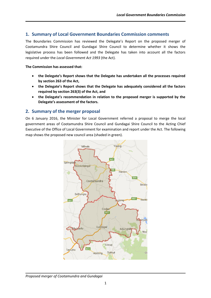# **1. Summary of Local Government Boundaries Commission comments**

The Boundaries Commission has reviewed the Delegate's Report on the proposed merger of Cootamundra Shire Council and Gundagai Shire Council to determine whether it shows the legislative process has been followed and the Delegate has taken into account all the factors required under the *Local Government Act 1993* (the Act).

#### **The Commission has assessed that:**

- **the Delegate's Report shows that the Delegate has undertaken all the processes required by section 263 of the Act,**
- **the Delegate's Report shows that the Delegate has adequately considered all the factors required by section 263(3) of the Act, and**
- **the Delegate's recommendation in relation to the proposed merger is supported by the Delegate's assessment of the factors.**

# **2. Summary of the merger proposal**

On 6 January 2016, the Minister for Local Government referred a proposal to merge the local government areas of Cootamundra Shire Council and Gundagai Shire Council to the Acting Chief Executive of the Office of Local Government for examination and report under the Act. The following map shows the proposed new council area (shaded in green).



#### *Proposed merger of Cootamundra and Gundagai*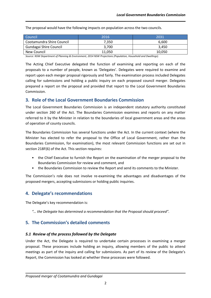The proposal would have the following impacts on population across the two councils.

| Council                   | 2016   | 2031   |
|---------------------------|--------|--------|
| Cootamundra Shire Council | 7.350  | 6.600  |
| Gundagai Shire Council    | 3.700  | 3.450  |
| New Council               | 11.050 | 10,050 |

*Source: NSW Department of Planning & Environment, 2014 NSW Projections (Population, Household and Dwellings).*

The Acting Chief Executive delegated the function of examining and reporting on each of the proposals to a number of people, known as 'Delegates'. Delegates were required to examine and report upon each merger proposal rigorously and fairly. The examination process included Delegates calling for submissions and holding a public inquiry on each proposed council merger. Delegates prepared a report on the proposal and provided that report to the Local Government Boundaries Commission.

# **3. Role of the Local Government Boundaries Commission**

The Local Government Boundaries Commission is an independent statutory authority constituted under section 260 of the Act. The Boundaries Commission examines and reports on any matter referred to it by the Minister in relation to the boundaries of local government areas and the areas of operation of county councils.

The Boundaries Commission has several functions under the Act. In the current context (where the Minister has elected to refer the proposal to the Office of Local Government, rather than the Boundaries Commission, for examination), the most relevant Commission functions are set out in section 218F(6) of the Act. This section requires:

- the Chief Executive to furnish the Report on the examination of the merger proposal to the Boundaries Commission for review and comment, and
- the Boundaries Commission to review the Report and send its comments to the Minister.

The Commission's role does not involve re-examining the advantages and disadvantages of the proposed mergers, accepting submissions or holding public inquiries.

# **4. Delegate's recommendations**

The Delegate's key recommendation is:

*"… the Delegate has determined a recommendation that the Proposal should proceed".*

# **5. The Commission's detailed comments**

#### *5.1 Review of the process followed by the Delegate*

Under the Act, the Delegate is required to undertake certain processes in examining a merger proposal. These processes include holding an inquiry, allowing members of the public to attend meetings as part of the inquiry and calling for submissions. As part of its review of the Delegate's Report, the Commission has looked at whether these processes were followed.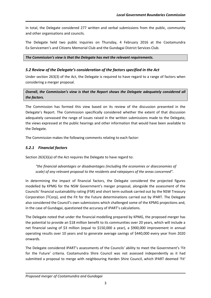In total, the Delegate considered 277 written and verbal submissions from the public, community and other organisations and councils.

The Delegate held two public inquiries on Thursday, 4 February 2016 at the Cootamundra Ex-Servicemen's and Citizens Memorial Club and the Gundagai District Services Club.

*The Commission's view is that the Delegate has met the relevant requirements.*

# *5.2 Review of the Delegate's consideration of the factors specified in the Act*

Under section 263(3) of the Act, the Delegate is required to have regard to a range of factors when considering a merger proposal.

*Overall, the Commission's view is that the Report shows the Delegate adequately considered all the factors.*

The Commission has formed this view based on its review of the discussion presented in the Delegate's Report. The Commission specifically considered whether the extent of that discussion adequately canvassed the range of issues raised in the written submissions made to the Delegate, the views expressed at the public hearings and other information that would have been available to the Delegate.

The Commission makes the following comments relating to each factor:

# *5.2.1 Financial factors*

Section 263(3)(a) of the Act requires the Delegate to have regard to:

*"the financial advantages or disadvantages (including the economies or diseconomies of scale) of any relevant proposal to the residents and ratepayers of the areas concerned".*

In determining the impact of financial factors, the Delegate considered the projected figures modelled by KPMG for the NSW Government's merger proposal, alongside the assessment of the Councils' financial sustainability rating (FSR) and short term outlook carried out by the NSW Treasury Corporation (TCorp), and the Fit for the Future determinations carried out by IPART. The Delegate also considered the Council's own submissions which challenged some of the KPMG projections and, in the case of Gundagai, questioned the accuracy of IPART's calculations.

The Delegate noted that under the financial modelling prepared by KPMG, the proposed merger has the potential to provide an \$18 million benefit to its communities over 20 years, which will include a net financial saving of \$3 million (equal to \$150,000 a year), a \$900,000 improvement in annual operating results over 10 years and to generate average savings of \$440,000 every year from 2020 onwards.

The Delegate considered IPART's assessments of the Councils' ability to meet the Government's 'Fit for the Future' criteria. Cootamundra Shire Council was not assessed independently as it had submitted a proposal to merge with neighbouring Harden Shire Council, which IPART deemed 'Fit'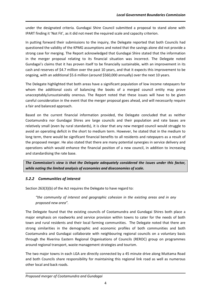under the designated criteria. Gundagai Shire Council submitted a proposal to stand alone with IPART finding it 'Not Fit', as it did not meet the required scale and capacity criterion.

In putting forward their submissions to the inquiry, the Delegate reported that both Councils had questioned the validity of the KPMG assumptions and noted that the savings alone did not provide a strong case for merging. The Report acknowledged that Gundagai Shire stated that the information in the merger proposal relating to its financial situation was incorrect. The Delegate noted Gundagai's claims that it has proven itself to be financially sustainable, with an improvement in its cash and reserves of \$4.7 million over the past 10 years, and that it expects this improvement to be ongoing, with an additional \$5.6 million (around \$560,000 annually) over the next 10 years.

The Delegate highlighted that both areas have a significant population of low income ratepayers for whom the additional costs of balancing the books of a merged council entity may prove unacceptably/unsustainably onerous. The Report noted that these issues will have to be given careful consideration in the event that the merger proposal goes ahead, and will necessarily require a fair and balanced approach.

Based on the current financial information provided, the Delegate concluded that as neither Cootamundra nor Gundagai Shires are large councils and their population and rate bases are relatively small (even by rural standards), it is clear that any new merged council would struggle to avoid an operating deficit in the short to medium term. However, he stated that in the medium to long term, there would be significant financial benefits to all residents and ratepayers as a result of the proposed merger. He also stated that there are many potential synergies in service delivery and operations which would enhance the financial position of a new council, in addition to increasing and standardising the rate base.

*The Commission's view is that the Delegate adequately considered the issues under this factor, while noting the limited analysis of economies and diseconomies of scale.*

# *5.2.2 Communities of interest*

Section 263(3)(b) of the Act requires the Delegate to have regard to:

*"the community of interest and geographic cohesion in the existing areas and in any proposed new area".*

The Delegate found that the existing councils of Cootamundra and Gundagai Shires both place a major emphasis on roadworks and service provision within towns to cater for the needs of both town and rural residents and their local farming communities. The Delegate noted that there are strong similarities in the demographic and economic profiles of both communities and both Cootamundra and Gundagai collaborate with neighbouring regional councils on a voluntary basis through the Riverina Eastern Regional Organisations of Councils (REROC) group on programmes around regional transport, waste management strategies and tourism.

The two major towns in each LGA are directly connected by a 45 minute drive along Muttama Road and both Councils share responsibility for maintaining this regional link road as well as numerous other local and back roads.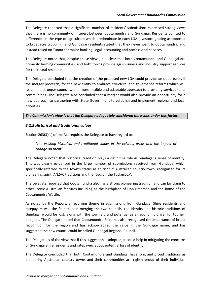The Delegate reported that a significant number of residents' submissions expressed strong views that there is no community of interest between Cootamundra and Gundagai. Residents pointed to differences in the type of agriculture which predominate in each LGA (livestock grazing as opposed to broadacre cropping), and Gundagai residents stated that they never went to Cootamundra, and instead relied on Tumut for major banking, legal, accounting and professional services.

The Delegate noted that, despite these views, it is clear that both Cootamundra and Gundagai are primarily farming communities, and both towns provide agri-business and industry support services for their rural residents.

The Delegate concluded that the creation of the proposed new LGA could provide an opportunity if the merger proceeds, for the new entity to embrace structural and governance reforms which will result in a stronger council with a more flexible and adaptable approach to providing services to its communities. The Delegate also concluded that a merger would also provide an opportunity for a new approach to partnering with State Government to establish and implement regional and local priorities.

#### *The Commission's view is that the Delegate adequately considered the issues under this factor.*

# *5.2.3 Historical and traditional values*

Section 263(3)(c) of the Act requires the Delegate to have regard to:

*"the existing historical and traditional values in the existing areas and the impact of change on them".*

The Delegate noted that historical tradition plays a definitive role in Gundagai's sense of identity. This was clearly evidenced in the large number of submissions received from Gundagai which specifically referred to the town's status as an 'iconic' Australian country town, recognised for its pioneering spirit, ANZAC traditions and the 'Dog on the Tuckerbox'.

The Delegate reported that Cootamundra also has a strong pioneering tradition and can lay claim to other iconic Australian features including as the birthplace of Don Bradman and the home of the Cootamundra Wattle.

As noted by the Report, a recurring theme in submissions from Gundagai Shire residents and ratepayers was the fear that, in merging the two councils, the identity and historic traditions of Gundagai would be lost, along with the town's brand potential as an economic driver for tourism and jobs. The Delegate noted that Cootamundra Shire has also recognised the importance of brand recognition for the region and has acknowledged the value in the Gundagai name, and has suggested the new council could be called Gundagai Regional Council.

The Delegate is of the view that if this suggestion is adopted, it could help in mitigating the concerns of Gundagai Shire residents and ratepayers about potential loss of identity.

The Delegate concluded that both Cootamundra and Gundagai have long and proud traditions as pioneering Australian country towns and their communities are rightly proud of their individual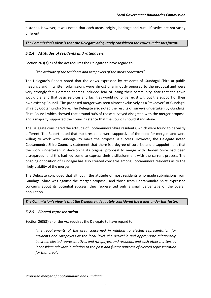histories. However, it was noted that each areas' origins, heritage and rural lifestyles are not vastly different.

*The Commission's view is that the Delegate adequately considered the issues under this factor.*

# *5.2.4 Attitudes of residents and ratepayers*

Section 263(3)(d) of the Act requires the Delegate to have regard to:

*"the attitude of the residents and ratepayers of the areas concerned".*

The Delegate's Report noted that the views expressed by residents of Gundagai Shire at public meetings and in written submissions were almost unanimously opposed to the proposal and were very strongly felt. Common themes included fear of losing their community, fear that the town would die, and that basic services and facilities would no longer exist without the support of their own existing Council. The proposed merger was seen almost exclusively as a "takeover" of Gundagai Shire by Cootamundra Shire. The Delegate also noted the results of surveys undertaken by Gundagai Shire Council which showed that around 90% of those surveyed disagreed with the merger proposal and a majority supported the Council's stance that the Council should stand alone.

The Delegate considered the attitude of Cootamundra Shire residents, which were found to be vastly different. The Report noted that most residents were supportive of the need for mergers and were willing to work with Gundagai to make the proposal a success. However, the Delegate noted Cootamundra Shire Council's statement that there is a degree of surprise and disappointment that the work undertaken in developing its original proposal to merge with Harden Shire had been disregarded, and this had led some to express their disillusionment with the current process. The ongoing opposition of Gundagai has also created concerns among Cootamundra residents as to the likely viability of the merger.

The Delegate concluded that although the attitude of most residents who made submissions from Gundagai Shire was against the merger proposal, and those from Cootamundra Shire expressed concerns about its potential success, they represented only a small percentage of the overall population.

#### *The Commission's view is that the Delegate adequately considered the issues under this factor.*

# *5.2.5 Elected representation*

Section 263(3)(e) of the Act requires the Delegate to have regard to:

*"the requirements of the area concerned in relation to elected representation for residents and ratepayers at the local level, the desirable and appropriate relationship between elected representatives and ratepayers and residents and such other matters as it considers relevant in relation to the past and future patterns of elected representation for that area".*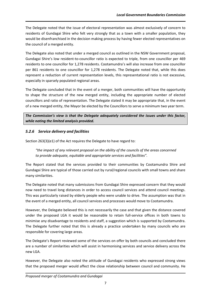The Delegate noted that the issue of electoral representation was almost exclusively of concern to residents of Gundagai Shire who felt very strongly that as a town with a smaller population, they would be disenfranchised in the decision making process by having fewer elected representatives on the council of a merged entity.

The Delegate also noted that under a merged council as outlined in the NSW Government proposal, Gundagai Shire's low resident-to-councillor ratio is expected to triple, from one councillor per 469 residents to one councillor for 1,278 residents. Cootamundra's will also increase from one councillor per 861 residents to one councillor for 1,278 residents. The Delegate noted that, while this does represent a reduction of current representation levels, this representational ratio is not excessive, especially in sparsely populated regional areas.

The Delegate concluded that in the event of a merger, both communities will have the opportunity to shape the structure of the new merged entity, including the appropriate number of elected councillors and ratio of representation. The Delegate stated it may be appropriate that, in the event of a new merged entity, the Mayor be elected by the Councillors to serve a minimum two year term.

*The Commission's view is that the Delegate adequately considered the issues under this factor, while noting the limited analysis provided.*

# *5.2.6 Service delivery and facilities*

Section 263(3)(e1) of the Act requires the Delegate to have regard to:

*"the impact of any relevant proposal on the ability of the councils of the areas concerned to provide adequate, equitable and appropriate services and facilities".*

The Report stated that the services provided to their communities by Cootamundra Shire and Gundagai Shire are typical of those carried out by rural/regional councils with small towns and share many similarities.

The Delegate noted that many submissions from Gundagai Shire expressed concern that they would now need to travel long distances in order to access council services and attend council meetings. This was particularly raised by elderly people who were unable to drive. The assumption was that in the event of a merged entity, all council services and processes would move to Cootamundra.

However, the Delegate believed this is not necessarily the case and that given the distance covered under the proposed LGA it would be reasonable to retain full-service offices in both towns to minimise any disadvantage to residents and staff, a suggestion which is supported by Cootamundra. The Delegate further noted that this is already a practice undertaken by many councils who are responsible for covering large areas.

The Delegate's Report reviewed some of the services on offer by both councils and concluded there are a number of similarities which will assist in harmonising services and service delivery across the new LGA.

However, the Delegate also noted the attitude of Gundagai residents who expressed strong views that the proposed merger would affect the close relationship between council and community. He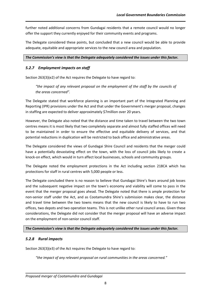further noted additional concerns from Gundagai residents that a remote council would no longer offer the support they currently enjoyed for their community events and programs.

The Delegate considered these points, but concluded that a new council would be able to provide adequate, equitable and appropriate services to the new council area and population.

#### *The Commission's view is that the Delegate adequately considered the issues under this factor.*

#### *5.2.7 Employment impacts on staff*

Section 263(3)(e2) of the Act requires the Delegate to have regard to:

"the impact of any relevant proposal on the employment of the staff by the councils of *the areas concerned".*

The Delegate stated that workforce planning is an important part of the Integrated Planning and Reporting (IPR) provisions under the Act and that under the Government's merger proposal, changes in staffing are expected to deliver approximately \$7million over 20 years.

However, the Delegate also noted that the distance and time taken to travel between the two town centres means it is most likely that two completely separate and almost fully staffed offices will need to be maintained in order to ensure the effective and equitable delivery of services, and that potential reductions in duplication will be restricted to back office and administrative areas.

The Delegate considered the views of Gundagai Shire Council and residents that the merger could have a potentially devastating effect on the town, with the loss of council jobs likely to create a knock-on effect, which would in turn affect local businesses, schools and community groups.

The Delegate noted the employment protections in the Act including section 218CA which has protections for staff in rural centres with 5,000 people or less.

The Delegate concluded there is no reason to believe that Gundagai Shire's fears around job losses and the subsequent negative impact on the town's economy and viability will come to pass in the event that the merger proposal goes ahead. The Delegate noted that there is ample protection for non-senior staff under the Act, and as Cootamundra Shire's submission makes clear, the distance and travel time between the two towns means that the new council is likely to have to run two offices, two depots and two operation teams. This is not unlike other rural council areas. Given these considerations, the Delegate did not consider that the merger proposal will have an adverse impact on the employment of non-senior council staff.

#### *The Commission's view is that the Delegate adequately considered the issues under this factor.*

#### *5.2.8 Rural impacts*

Section 263(3)(e3) of the Act requires the Delegate to have regard to:

*"the impact of any relevant proposal on rural communities in the areas concerned."*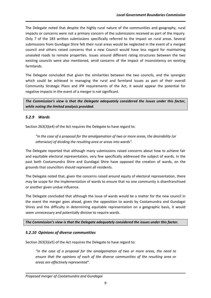The Delegate noted that despite the highly rural nature of the communities and geography, rural impacts or concerns were not a primary concern of the submissions received as part of the Inquiry. Only 7 of the 183 written submissions specifically referred to the impact on rural areas. Several submissions from Gundagai Shire felt their rural areas would be neglected in the event of a merged council and others raised concerns that a new Council would have less regard for maintaining unsealed roads to remote properties. Issues around different rating structures between the two existing councils were also mentioned, amid concerns of the impact of inconsistency on existing farmlands.

The Delegate concluded that given the similarities between the two councils, and the synergies which could be achieved in managing the rural and farmland issues as part of their overall Community Strategic Plans and IPR requirements of the Act, it would appear the potential for negative impacts in the event of a merger is not significant.

*The Commission's view is that the Delegate adequately considered the issues under this factor, while noting the limited analysis provided.*

#### *5.2.9 Wards*

Section 263(3)(e4) of the Act requires the Delegate to have regard to:

*"in the case of a proposal for the amalgamation of two or more areas, the desirability (or otherwise) of dividing the resulting area or areas into wards".*

The Delegate reported that although many submissions raised concerns about how to achieve fair and equitable electoral representation, very few specifically addressed the subject of wards. In the past both Cootamundra Shire and Gundagai Shire have opposed the creation of wards, on the grounds that councillors should represent all residents.

The Delegate noted that, given the concerns raised around equity of electoral representation, there may be scope for the implementation of wards to ensure that no one community is disenfranchised or another given undue influence.

The Delegate concluded that although the issue of wards would be a matter for the new council in the event the merger goes ahead, given the opposition to wards by Cootamundra and Gundagai Shires and the difficulty in determining equitable representation on a geographic basis, it would seem unnecessary and potentially divisive to require wards.

#### *The Commission's view is that the Delegate adequately considered the issues under this factor.*

#### *5.2.10 Opinions of diverse communities*

Section 263(3)(e5) of the Act requires the Delegate to have regard to:

*"in the case of a proposal for the amalgamation of two or more areas, the need to ensure that the opinions of each of the diverse communities of the resulting area or areas are effectively represented".*